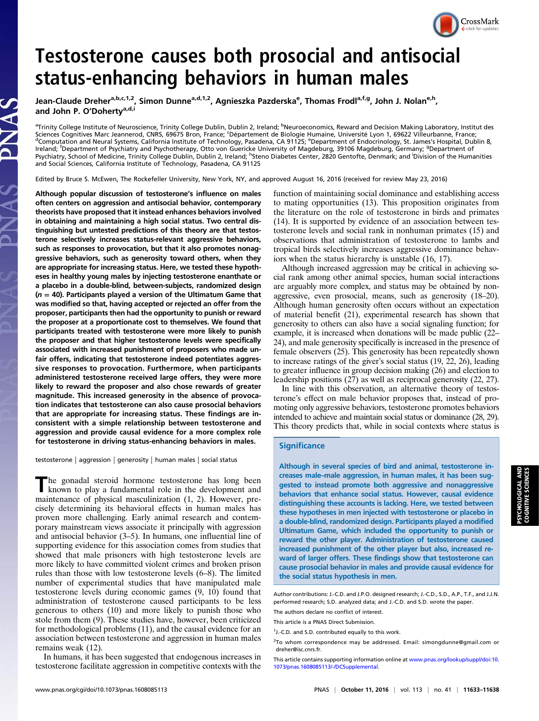# Testosterone causes both prosocial and antisocial status-enhancing behaviors in human males

Jean-Claude Dreher<sup>a,b,c,1,2</sup>, Simon Dunne<sup>a,d,1,2</sup>, Agnieszka Pazderska<sup>e</sup>, Thomas Frodl<sup>a,f,g</sup>, John J. Nolan<sup>e,h</sup>, and John P. O'Doherty<sup>a,d,i</sup>

<sup>a</sup>Trinity College Institute of Neuroscience, Trinity College Dublin, Dublin 2, Ireland; <sup>b</sup>Neuroeconomics, Reward and Decision Making Laboratory, Institut des Sciences Cognitives Marc Jeannerod, CNRS, 69675 Bron, France; 'Département de Biologie Humaine, Université Lyon 1, 69622 Villeurbanne, France;<br><sup>d</sup>Computation and Neural Systems, California Institute of Technology, Pasadena Psychiatry, School of Medicine, Trinity College Dublin, Dublin 2, Ireland; <sup>h</sup>Steno Diabetes Center, 2820 Gentofte, Denmark; and <sup>i</sup>Division of the Humanities and Social Sciences, California Institute of Technology, Pasadena, CA 91125

Edited by Bruce S. McEwen, The Rockefeller University, New York, NY, and approved August 16, 2016 (received for review May 23, 2016)

Although popular discussion of testosterone's influence on males often centers on aggression and antisocial behavior, contemporary theorists have proposed that it instead enhances behaviors involved in obtaining and maintaining a high social status. Two central distinguishing but untested predictions of this theory are that testosterone selectively increases status-relevant aggressive behaviors, such as responses to provocation, but that it also promotes nonaggressive behaviors, such as generosity toward others, when they are appropriate for increasing status. Here, we tested these hypotheses in healthy young males by injecting testosterone enanthate or a placebo in a double-blind, between-subjects, randomized design  $(n = 40)$ . Participants played a version of the Ultimatum Game that was modified so that, having accepted or rejected an offer from the proposer, participants then had the opportunity to punish or reward the proposer at a proportionate cost to themselves. We found that participants treated with testosterone were more likely to punish the proposer and that higher testosterone levels were specifically associated with increased punishment of proposers who made unfair offers, indicating that testosterone indeed potentiates aggressive responses to provocation. Furthermore, when participants administered testosterone received large offers, they were more likely to reward the proposer and also chose rewards of greater magnitude. This increased generosity in the absence of provocation indicates that testosterone can also cause prosocial behaviors that are appropriate for increasing status. These findings are inconsistent with a simple relationship between testosterone and aggression and provide causal evidence for a more complex role for testosterone in driving status-enhancing behaviors in males.

testosterone | aggression | generosity | human males | social status

The gonadal steroid hormone testosterone has long been known to play a fundamental role in the development and maintenance of physical masculinization (1, 2). However, precisely determining its behavioral effects in human males has proven more challenging. Early animal research and contemporary mainstream views associate it principally with aggression and antisocial behavior (3–5). In humans, one influential line of supporting evidence for this association comes from studies that showed that male prisoners with high testosterone levels are more likely to have committed violent crimes and broken prison rules than those with low testosterone levels (6–8). The limited number of experimental studies that have manipulated male testosterone levels during economic games (9, 10) found that administration of testosterone caused participants to be less generous to others (10) and more likely to punish those who stole from them (9). These studies have, however, been criticized for methodological problems (11), and the causal evidence for an association between testosterone and aggression in human males remains weak (12).

In humans, it has been suggested that endogenous increases in testosterone facilitate aggression in competitive contexts with the function of maintaining social dominance and establishing access to mating opportunities (13). This proposition originates from the literature on the role of testosterone in birds and primates (14). It is supported by evidence of an association between testosterone levels and social rank in nonhuman primates (15) and observations that administration of testosterone to lambs and tropical birds selectively increases aggressive dominance behaviors when the status hierarchy is unstable (16, 17).

CrossMark

Although increased aggression may be critical in achieving social rank among other animal species, human social interactions are arguably more complex, and status may be obtained by nonaggressive, even prosocial, means, such as generosity (18–20). Although human generosity often occurs without an expectation of material benefit (21), experimental research has shown that generosity to others can also have a social signaling function; for example, it is increased when donations will be made public (22– 24), and male generosity specifically is increased in the presence of female observers (25). This generosity has been repeatedly shown to increase ratings of the giver's social status (19, 22, 26), leading to greater influence in group decision making (26) and election to leadership positions (27) as well as reciprocal generosity (22, 27).

In line with this observation, an alternative theory of testosterone's effect on male behavior proposes that, instead of promoting only aggressive behaviors, testosterone promotes behaviors intended to achieve and maintain social status or dominance (28, 29). This theory predicts that, while in social contexts where status is

## **Significance**

Although in several species of bird and animal, testosterone increases male–male aggression, in human males, it has been suggested to instead promote both aggressive and nonaggressive behaviors that enhance social status. However, causal evidence distinguishing these accounts is lacking. Here, we tested between these hypotheses in men injected with testosterone or placebo in a double-blind, randomized design. Participants played a modified Ultimatum Game, which included the opportunity to punish or reward the other player. Administration of testosterone caused increased punishment of the other player but also, increased reward of larger offers. These findings show that testosterone can cause prosocial behavior in males and provide causal evidence for the social status hypothesis in men.

Author contributions: J.-C.D. and J.P.O. designed research; J.-C.D., S.D., A.P., T.F., and J.J.N. performed research; S.D. analyzed data; and J.-C.D. and S.D. wrote the paper.

The authors declare no conflict of interest. This article is a PNAS Direct Submission.

<sup>1</sup>J.-C.D. and S.D. contributed equally to this work.

<sup>2</sup>To whom correspondence may be addressed. Email: [simongdunne@gmail.com](mailto:simongdunne@gmail.com) or [dreher@isc.cnrs.fr.](mailto:dreher@isc.cnrs.fr)

This article contains supporting information online at [www.pnas.org/lookup/suppl/doi:10.](http://www.pnas.org/lookup/suppl/doi:10.1073/pnas.1608085113/-/DCSupplemental) [1073/pnas.1608085113/-/DCSupplemental](http://www.pnas.org/lookup/suppl/doi:10.1073/pnas.1608085113/-/DCSupplemental).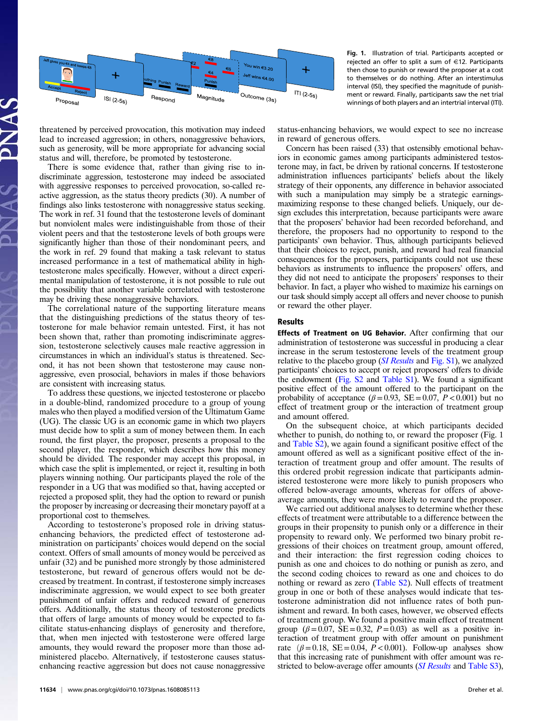

Fig. 1. Illustration of trial. Participants accepted or rejected an offer to split a sum of  $\in$ 12. Participants then chose to punish or reward the proposer at a cost to themselves or do nothing. After an interstimulus interval (ISI), they specified the magnitude of punishment or reward. Finally, participants saw the net trial winnings of both players and an intertrial interval (ITI).

threatened by perceived provocation, this motivation may indeed lead to increased aggression; in others, nonaggressive behaviors, such as generosity, will be more appropriate for advancing social status and will, therefore, be promoted by testosterone.

There is some evidence that, rather than giving rise to indiscriminate aggression, testosterone may indeed be associated with aggressive responses to perceived provocation, so-called reactive aggression, as the status theory predicts (30). A number of findings also links testosterone with nonaggressive status seeking. The work in ref. 31 found that the testosterone levels of dominant but nonviolent males were indistinguishable from those of their violent peers and that the testosterone levels of both groups were significantly higher than those of their nondominant peers, and the work in ref. 29 found that making a task relevant to status increased performance in a test of mathematical ability in hightestosterone males specifically. However, without a direct experimental manipulation of testosterone, it is not possible to rule out the possibility that another variable correlated with testosterone may be driving these nonaggressive behaviors.

The correlational nature of the supporting literature means that the distinguishing predictions of the status theory of testosterone for male behavior remain untested. First, it has not been shown that, rather than promoting indiscriminate aggression, testosterone selectively causes male reactive aggression in circumstances in which an individual's status is threatened. Second, it has not been shown that testosterone may cause nonaggressive, even prosocial, behaviors in males if those behaviors are consistent with increasing status.

To address these questions, we injected testosterone or placebo in a double-blind, randomized procedure to a group of young males who then played a modified version of the Ultimatum Game (UG). The classic UG is an economic game in which two players must decide how to split a sum of money between them. In each round, the first player, the proposer, presents a proposal to the second player, the responder, which describes how this money should be divided. The responder may accept this proposal, in which case the split is implemented, or reject it, resulting in both players winning nothing. Our participants played the role of the responder in a UG that was modified so that, having accepted or rejected a proposed split, they had the option to reward or punish the proposer by increasing or decreasing their monetary payoff at a proportional cost to themselves.

According to testosterone's proposed role in driving statusenhancing behaviors, the predicted effect of testosterone administration on participants' choices would depend on the social context. Offers of small amounts of money would be perceived as unfair (32) and be punished more strongly by those administered testosterone, but reward of generous offers would not be decreased by treatment. In contrast, if testosterone simply increases indiscriminate aggression, we would expect to see both greater punishment of unfair offers and reduced reward of generous offers. Additionally, the status theory of testosterone predicts that offers of large amounts of money would be expected to facilitate status-enhancing displays of generosity and therefore, that, when men injected with testosterone were offered large amounts, they would reward the proposer more than those administered placebo. Alternatively, if testosterone causes statusenhancing reactive aggression but does not cause nonaggressive

status-enhancing behaviors, we would expect to see no increase in reward of generous offers.

Concern has been raised (33) that ostensibly emotional behaviors in economic games among participants administered testosterone may, in fact, be driven by rational concerns. If testosterone administration influences participants' beliefs about the likely strategy of their opponents, any difference in behavior associated with such a manipulation may simply be a strategic earningsmaximizing response to these changed beliefs. Uniquely, our design excludes this interpretation, because participants were aware that the proposers' behavior had been recorded beforehand, and therefore, the proposers had no opportunity to respond to the participants' own behavior. Thus, although participants believed that their choices to reject, punish, and reward had real financial consequences for the proposers, participants could not use these behaviors as instruments to influence the proposers' offers, and they did not need to anticipate the proposers' responses to their behavior. In fact, a player who wished to maximize his earnings on our task should simply accept all offers and never choose to punish or reward the other player.

## Results

Effects of Treatment on UG Behavior. After confirming that our administration of testosterone was successful in producing a clear increase in the serum testosterone levels of the treatment group relative to the placebo group ([SI Results](http://www.pnas.org/lookup/suppl/doi:10.1073/pnas.1608085113/-/DCSupplemental/pnas.201608085SI.pdf?targetid=nameddest=STXT) and [Fig. S1\)](http://www.pnas.org/lookup/suppl/doi:10.1073/pnas.1608085113/-/DCSupplemental/pnas.201608085SI.pdf?targetid=nameddest=SF1), we analyzed participants' choices to accept or reject proposers' offers to divide the endowment [\(Fig. S2](http://www.pnas.org/lookup/suppl/doi:10.1073/pnas.1608085113/-/DCSupplemental/pnas.201608085SI.pdf?targetid=nameddest=SF2) and [Table S1](http://www.pnas.org/lookup/suppl/doi:10.1073/pnas.1608085113/-/DCSupplemental/pnas.201608085SI.pdf?targetid=nameddest=ST1)). We found a significant positive effect of the amount offered to the participant on the probability of acceptance ( $\beta = 0.93$ , SE = 0.07, P < 0.001) but no effect of treatment group or the interaction of treatment group and amount offered.

On the subsequent choice, at which participants decided whether to punish, do nothing to, or reward the proposer (Fig. 1 and [Table S2\)](http://www.pnas.org/lookup/suppl/doi:10.1073/pnas.1608085113/-/DCSupplemental/pnas.201608085SI.pdf?targetid=nameddest=ST2), we again found a significant positive effect of the amount offered as well as a significant positive effect of the interaction of treatment group and offer amount. The results of this ordered probit regression indicate that participants administered testosterone were more likely to punish proposers who offered below-average amounts, whereas for offers of aboveaverage amounts, they were more likely to reward the proposer.

We carried out additional analyses to determine whether these effects of treatment were attributable to a difference between the groups in their propensity to punish only or a difference in their propensity to reward only. We performed two binary probit regressions of their choices on treatment group, amount offered, and their interaction: the first regression coding choices to punish as one and choices to do nothing or punish as zero, and the second coding choices to reward as one and choices to do nothing or reward as zero ([Table S2](http://www.pnas.org/lookup/suppl/doi:10.1073/pnas.1608085113/-/DCSupplemental/pnas.201608085SI.pdf?targetid=nameddest=ST2)). Null effects of treatment group in one or both of these analyses would indicate that testosterone administration did not influence rates of both punishment and reward. In both cases, however, we observed effects of treatment group. We found a positive main effect of treatment group ( $\beta = 0.07$ , SE = 0.32, P = 0.03) as well as a positive interaction of treatment group with offer amount on punishment rate  $(\beta = 0.18, \text{ SE} = 0.04, P < 0.001)$ . Follow-up analyses show that this increasing rate of punishment with offer amount was re-stricted to below-average offer amounts ([SI Results](http://www.pnas.org/lookup/suppl/doi:10.1073/pnas.1608085113/-/DCSupplemental/pnas.201608085SI.pdf?targetid=nameddest=STXT) and [Table S3\)](http://www.pnas.org/lookup/suppl/doi:10.1073/pnas.1608085113/-/DCSupplemental/pnas.201608085SI.pdf?targetid=nameddest=ST3),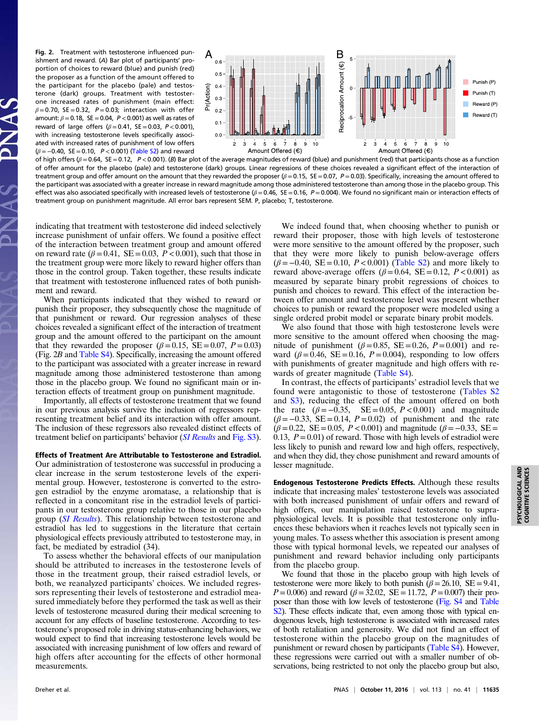Fig. 2. Treatment with testosterone influenced pun-<br>
ishment and reward. (A) Bar plot of participants' pro-<br>
portion of choices to reward (blue) and punish (red)<br>
the proposer as a function of the amount offered to<br>
the p ishment and reward. (A) Bar plot of participants' proportion of choices to reward (blue) and punish (red) the proposer as a function of the amount offered to the participant for the placebo (pale) and testosterone (dark) groups. Treatment with testosterone increased rates of punishment (main effect:  $\beta = 0.70$ , SE = 0.32,  $P = 0.03$ ; interaction with offer amount:  $\beta = 0.18$ , SE = 0.04, P < 0.001) as well as rates of reward of large offers  $(\beta = 0.41, \text{ SE} = 0.03, \text{ P} < 0.001)$ , with increasing testosterone levels specifically associated with increased rates of punishment of low offers  $(β = -0.40, SE = 0.10, P < 0.001)$  [\(Table S2\)](http://www.pnas.org/lookup/suppl/doi:10.1073/pnas.1608085113/-/DCSupplemental/pnas.201608085SI.pdf?targetid=nameddest=ST2) and reward



of high offers ( $\beta$  = 0.64, SE = 0.12,  $P$  < 0.001). (B) Bar plot of the average magnitudes of reward (blue) and punishment (red) that participants chose as a function of offer amount for the placebo (pale) and testosterone (dark) groups. Linear regressions of these choices revealed a significant effect of the interaction of treatment group and offer amount on the amount that they rewarded the proposer ( $\beta$  = 0.15, SE = 0.07, P = 0.03). Specifically, increasing the amount offered to the participant was associated with a greater increase in reward magnitude among those administered testosterone than among those in the placebo group. This effect was also associated specifically with increased levels of testosterone  $(\beta = 0.46, \, \text{SE} = 0.16, \, P = 0.004)$ . We found no significant main or interaction effects of treatment group on punishment magnitude. All error bars represent SEM. P, placebo; T, testosterone.

indicating that treatment with testosterone did indeed selectively increase punishment of unfair offers. We found a positive effect of the interaction between treatment group and amount offered on reward rate ( $\beta = 0.41$ , SE = 0.03, P < 0.001), such that those in the treatment group were more likely to reward higher offers than those in the control group. Taken together, these results indicate that treatment with testosterone influenced rates of both punishment and reward.

When participants indicated that they wished to reward or punish their proposer, they subsequently chose the magnitude of that punishment or reward. Our regression analyses of these choices revealed a significant effect of the interaction of treatment group and the amount offered to the participant on the amount that they rewarded the proposer ( $\beta = 0.15$ , SE = 0.07, P = 0.03) (Fig. 2B and [Table S4\)](http://www.pnas.org/lookup/suppl/doi:10.1073/pnas.1608085113/-/DCSupplemental/pnas.201608085SI.pdf?targetid=nameddest=ST4). Specifically, increasing the amount offered to the participant was associated with a greater increase in reward magnitude among those administered testosterone than among those in the placebo group. We found no significant main or interaction effects of treatment group on punishment magnitude.

Importantly, all effects of testosterone treatment that we found in our previous analysis survive the inclusion of regressors representing treatment belief and its interaction with offer amount. The inclusion of these regressors also revealed distinct effects of treatment belief on participants' behavior ([SI Results](http://www.pnas.org/lookup/suppl/doi:10.1073/pnas.1608085113/-/DCSupplemental/pnas.201608085SI.pdf?targetid=nameddest=STXT) and [Fig. S3\)](http://www.pnas.org/lookup/suppl/doi:10.1073/pnas.1608085113/-/DCSupplemental/pnas.201608085SI.pdf?targetid=nameddest=SF3).

#### Effects of Treatment Are Attributable to Testosterone and Estradiol.

Our administration of testosterone was successful in producing a clear increase in the serum testosterone levels of the experimental group. However, testosterone is converted to the estrogen estradiol by the enzyme aromatase, a relationship that is reflected in a concomitant rise in the estradiol levels of participants in our testosterone group relative to those in our placebo group ([SI Results](http://www.pnas.org/lookup/suppl/doi:10.1073/pnas.1608085113/-/DCSupplemental/pnas.201608085SI.pdf?targetid=nameddest=STXT)). This relationship between testosterone and estradiol has led to suggestions in the literature that certain physiological effects previously attributed to testosterone may, in fact, be mediated by estradiol (34).

To assess whether the behavioral effects of our manipulation should be attributed to increases in the testosterone levels of those in the treatment group, their raised estradiol levels, or both, we reanalyzed participants' choices. We included regressors representing their levels of testosterone and estradiol measured immediately before they performed the task as well as their levels of testosterone measured during their medical screening to account for any effects of baseline testosterone. According to testosterone's proposed role in driving status-enhancing behaviors, we would expect to find that increasing testosterone levels would be associated with increasing punishment of low offers and reward of high offers after accounting for the effects of other hormonal measurements.

We indeed found that, when choosing whether to punish or reward their proposer, those with high levels of testosterone were more sensitive to the amount offered by the proposer, such that they were more likely to punish below-average offers  $(\beta = -0.40, \text{ SE} = 0.10, P < 0.001)$  ([Table S2](http://www.pnas.org/lookup/suppl/doi:10.1073/pnas.1608085113/-/DCSupplemental/pnas.201608085SI.pdf?targetid=nameddest=ST2)) and more likely to reward above-average offers ( $\beta$  = 0.64, SE = 0.12, P < 0.001) as measured by separate binary probit regressions of choices to punish and choices to reward. This effect of the interaction between offer amount and testosterone level was present whether choices to punish or reward the proposer were modeled using a single ordered probit model or separate binary probit models.

We also found that those with high testosterone levels were more sensitive to the amount offered when choosing the magnitude of punishment ( $\beta = 0.85$ , SE = 0.26, P = 0.001) and reward ( $\beta$  = 0.46, SE = 0.16, P = 0.004), responding to low offers with punishments of greater magnitude and high offers with rewards of greater magnitude [\(Table S4](http://www.pnas.org/lookup/suppl/doi:10.1073/pnas.1608085113/-/DCSupplemental/pnas.201608085SI.pdf?targetid=nameddest=ST4)).

In contrast, the effects of participants' estradiol levels that we found were antagonistic to those of testosterone ([Tables S2](http://www.pnas.org/lookup/suppl/doi:10.1073/pnas.1608085113/-/DCSupplemental/pnas.201608085SI.pdf?targetid=nameddest=ST2) and [S3\)](http://www.pnas.org/lookup/suppl/doi:10.1073/pnas.1608085113/-/DCSupplemental/pnas.201608085SI.pdf?targetid=nameddest=ST3), reducing the effect of the amount offered on both the rate  $(\beta = -0.35, \text{ } SE = 0.05, P < 0.001)$  and magnitude  $(\beta = -0.33, SE = 0.14, P = 0.02)$  of punishment and the rate  $(\beta = 0.22, \text{ SE} = 0.05, P < 0.001)$  and magnitude ( $\beta = -0.33, \text{ SE} =$ 0.13,  $P = 0.01$ ) of reward. Those with high levels of estradiol were less likely to punish and reward low and high offers, respectively, and when they did, they chose punishment and reward amounts of lesser magnitude.

Endogenous Testosterone Predicts Effects. Although these results indicate that increasing males' testosterone levels was associated with both increased punishment of unfair offers and reward of high offers, our manipulation raised testosterone to supraphysiological levels. It is possible that testosterone only influences these behaviors when it reaches levels not typically seen in young males. To assess whether this association is present among those with typical hormonal levels, we repeated our analyses of punishment and reward behavior including only participants from the placebo group.

We found that those in the placebo group with high levels of testosterone were more likely to both punish ( $\beta$  = 26.10, SE = 9.41,  $P = 0.006$ ) and reward ( $\beta = 32.02$ , SE = 11.72,  $P = 0.007$ ) their proposer than those with low levels of testosterone ([Fig. S4](http://www.pnas.org/lookup/suppl/doi:10.1073/pnas.1608085113/-/DCSupplemental/pnas.201608085SI.pdf?targetid=nameddest=SF4) and [Table](http://www.pnas.org/lookup/suppl/doi:10.1073/pnas.1608085113/-/DCSupplemental/pnas.201608085SI.pdf?targetid=nameddest=ST2) [S2\)](http://www.pnas.org/lookup/suppl/doi:10.1073/pnas.1608085113/-/DCSupplemental/pnas.201608085SI.pdf?targetid=nameddest=ST2). These effects indicate that, even among those with typical endogenous levels, high testosterone is associated with increased rates of both retaliation and generosity. We did not find an effect of testosterone within the placebo group on the magnitudes of punishment or reward chosen by participants ([Table S4\)](http://www.pnas.org/lookup/suppl/doi:10.1073/pnas.1608085113/-/DCSupplemental/pnas.201608085SI.pdf?targetid=nameddest=ST4). However, these regressions were carried out with a smaller number of observations, being restricted to not only the placebo group but also,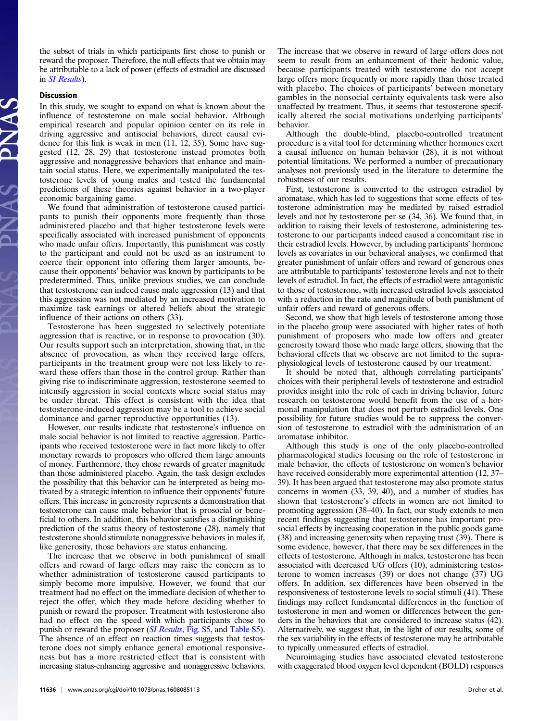the subset of trials in which participants first chose to punish or reward the proposer. Therefore, the null effects that we obtain may be attributable to a lack of power (effects of estradiol are discussed in [SI Results](http://www.pnas.org/lookup/suppl/doi:10.1073/pnas.1608085113/-/DCSupplemental/pnas.201608085SI.pdf?targetid=nameddest=STXT)).

## **Discussion**

In this study, we sought to expand on what is known about the influence of testosterone on male social behavior. Although empirical research and popular opinion center on its role in driving aggressive and antisocial behaviors, direct causal evidence for this link is weak in men (11, 12, 35). Some have suggested (12, 28, 29) that testosterone instead promotes both aggressive and nonaggressive behaviors that enhance and maintain social status. Here, we experimentally manipulated the testosterone levels of young males and tested the fundamental predictions of these theories against behavior in a two-player economic bargaining game.

We found that administration of testosterone caused participants to punish their opponents more frequently than those administered placebo and that higher testosterone levels were specifically associated with increased punishment of opponents who made unfair offers. Importantly, this punishment was costly to the participant and could not be used as an instrument to coerce their opponent into offering them larger amounts, because their opponents' behavior was known by participants to be predetermined. Thus, unlike previous studies, we can conclude that testosterone can indeed cause male aggression (13) and that this aggression was not mediated by an increased motivation to maximize task earnings or altered beliefs about the strategic influence of their actions on others (33).

Testosterone has been suggested to selectively potentiate aggression that is reactive, or in response to provocation (30). Our results support such an interpretation, showing that, in the absence of provocation, as when they received large offers, participants in the treatment group were not less likely to reward these offers than those in the control group. Rather than giving rise to indiscriminate aggression, testosterone seemed to intensify aggression in social contexts where social status may be under threat. This effect is consistent with the idea that testosterone-induced aggression may be a tool to achieve social dominance and garner reproductive opportunities (13).

However, our results indicate that testosterone's influence on male social behavior is not limited to reactive aggression. Participants who received testosterone were in fact more likely to offer monetary rewards to proposers who offered them large amounts of money. Furthermore, they chose rewards of greater magnitude than those administered placebo. Again, the task design excludes the possibility that this behavior can be interpreted as being motivated by a strategic intention to influence their opponents' future offers. This increase in generosity represents a demonstration that testosterone can cause male behavior that is prosocial or beneficial to others. In addition, this behavior satisfies a distinguishing prediction of the status theory of testosterone (28), namely that testosterone should stimulate nonaggressive behaviors in males if, like generosity, those behaviors are status enhancing.

The increase that we observe in both punishment of small offers and reward of large offers may raise the concern as to whether administration of testosterone caused participants to simply become more impulsive. However, we found that our treatment had no effect on the immediate decision of whether to reject the offer, which they made before deciding whether to punish or reward the proposer. Treatment with testosterone also had no effect on the speed with which participants chose to punish or reward the proposer ([SI Results](http://www.pnas.org/lookup/suppl/doi:10.1073/pnas.1608085113/-/DCSupplemental/pnas.201608085SI.pdf?targetid=nameddest=STXT), [Fig. S5](http://www.pnas.org/lookup/suppl/doi:10.1073/pnas.1608085113/-/DCSupplemental/pnas.201608085SI.pdf?targetid=nameddest=SF5), and [Table S5](http://www.pnas.org/lookup/suppl/doi:10.1073/pnas.1608085113/-/DCSupplemental/pnas.201608085SI.pdf?targetid=nameddest=ST5)). The absence of an effect on reaction times suggests that testosterone does not simply enhance general emotional responsiveness but has a more restricted effect that is consistent with increasing status-enhancing aggressive and nonaggressive behaviors.

The increase that we observe in reward of large offers does not seem to result from an enhancement of their hedonic value, because participants treated with testosterone do not accept large offers more frequently or more rapidly than those treated with placebo. The choices of participants' between monetary gambles in the nonsocial certainty equivalents task were also unaffected by treatment. Thus, it seems that testosterone specifically altered the social motivations underlying participants' behavior.

Although the double-blind, placebo-controlled treatment procedure is a vital tool for determining whether hormones exert a causal influence on human behavior (28), it is not without potential limitations. We performed a number of precautionary analyses not previously used in the literature to determine the robustness of our results.

First, testosterone is converted to the estrogen estradiol by aromatase, which has led to suggestions that some effects of testosterone administration may be mediated by raised estradiol levels and not by testosterone per se (34, 36). We found that, in addition to raising their levels of testosterone, administering testosterone to our participants indeed caused a concomitant rise in their estradiol levels. However, by including participants' hormone levels as covariates in our behavioral analyses, we confirmed that greater punishment of unfair offers and reward of generous ones are attributable to participants' testosterone levels and not to their levels of estradiol. In fact, the effects of estradiol were antagonistic to those of testosterone, with increased estradiol levels associated with a reduction in the rate and magnitude of both punishment of unfair offers and reward of generous offers.

Second, we show that high levels of testosterone among those in the placebo group were associated with higher rates of both punishment of proposers who made low offers and greater generosity toward those who made large offers, showing that the behavioral effects that we observe are not limited to the supraphysiological levels of testosterone caused by our treatment.

It should be noted that, although correlating participants' choices with their peripheral levels of testosterone and estradiol provides insight into the role of each in driving behavior, future research on testosterone would benefit from the use of a hormonal manipulation that does not perturb estradiol levels. One possibility for future studies would be to suppress the conversion of testosterone to estradiol with the administration of an aromatase inhibitor.

Although this study is one of the only placebo-controlled pharmacological studies focusing on the role of testosterone in male behavior, the effects of testosterone on women's behavior have received considerably more experimental attention (12, 37– 39). It has been argued that testosterone may also promote status concerns in women (33, 39, 40), and a number of studies has shown that testosterone's effects in women are not limited to promoting aggression (38–40). In fact, our study extends to men recent findings suggesting that testosterone has important prosocial effects by increasing cooperation in the public goods game (38) and increasing generosity when repaying trust (39). There is some evidence, however, that there may be sex differences in the effects of testosterone. Although in males, testosterone has been associated with decreased UG offers (10), administering testosterone to women increases (39) or does not change (37) UG offers. In addition, sex differences have been observed in the responsiveness of testosterone levels to social stimuli (41). These findings may reflect fundamental differences in the function of testosterone in men and women or differences between the genders in the behaviors that are considered to increase status (42). Alternatively, we suggest that, in the light of our results, some of the sex variability in the effects of testosterone may be attributable to typically unmeasured effects of estradiol.

Neuroimaging studies have associated elevated testosterone with exaggerated blood oxygen level dependent (BOLD) responses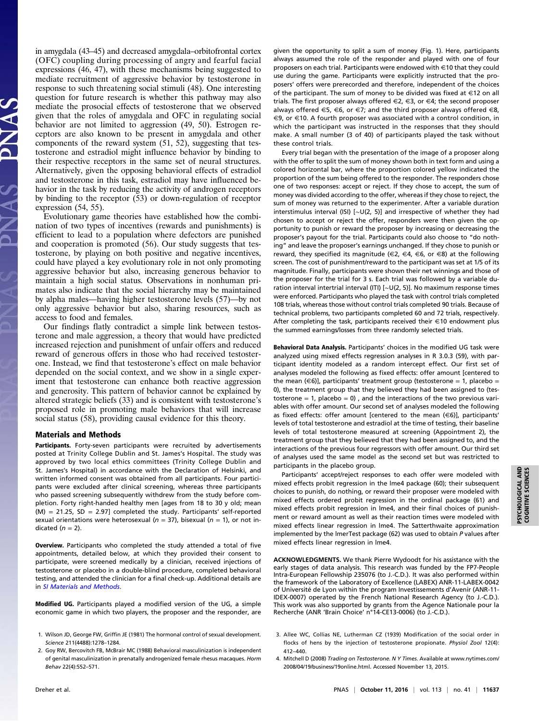in amygdala (43–45) and decreased amygdala–orbitofrontal cortex (OFC) coupling during processing of angry and fearful facial expressions (46, 47), with these mechanisms being suggested to mediate recruitment of aggressive behavior by testosterone in response to such threatening social stimuli (48). One interesting question for future research is whether this pathway may also mediate the prosocial effects of testosterone that we observed given that the roles of amygdala and OFC in regulating social behavior are not limited to aggression (49, 50). Estrogen receptors are also known to be present in amygdala and other components of the reward system (51, 52), suggesting that testosterone and estradiol might influence behavior by binding to their respective receptors in the same set of neural structures. Alternatively, given the opposing behavioral effects of estradiol and testosterone in this task, estradiol may have influenced behavior in the task by reducing the activity of androgen receptors by binding to the receptor (53) or down-regulation of receptor expression (54, 55).

Evolutionary game theories have established how the combination of two types of incentives (rewards and punishments) is efficient to lead to a population where defectors are punished and cooperation is promoted (56). Our study suggests that testosterone, by playing on both positive and negative incentives, could have played a key evolutionary role in not only promoting aggressive behavior but also, increasing generous behavior to maintain a high social status. Observations in nonhuman primates also indicate that the social hierarchy may be maintained by alpha males—having higher testosterone levels (57)—by not only aggressive behavior but also, sharing resources, such as access to food and females.

Our findings flatly contradict a simple link between testosterone and male aggression, a theory that would have predicted increased rejection and punishment of unfair offers and reduced reward of generous offers in those who had received testosterone. Instead, we find that testosterone's effect on male behavior depended on the social context, and we show in a single experiment that testosterone can enhance both reactive aggression and generosity. This pattern of behavior cannot be explained by altered strategic beliefs (33) and is consistent with testosterone's proposed role in promoting male behaviors that will increase social status (58), providing causal evidence for this theory.

### Materials and Methods

Participants. Forty-seven participants were recruited by advertisements posted at Trinity College Dublin and St. James's Hospital. The study was approved by two local ethics committees (Trinity College Dublin and St. James's Hospital) in accordance with the Declaration of Helsinki, and written informed consent was obtained from all participants. Four participants were excluded after clinical screening, whereas three participants who passed screening subsequently withdrew from the study before completion. Forty right-handed healthy men [ages from 18 to 30 y old; mean  $(M) = 21.25$ , SD = 2.97] completed the study. Participants' self-reported sexual orientations were heterosexual ( $n = 37$ ), bisexual ( $n = 1$ ), or not indicated  $(n = 2)$ .

Overview. Participants who completed the study attended a total of five appointments, detailed below, at which they provided their consent to participate, were screened medically by a clinician, received injections of testosterone or placebo in a double-blind procedure, completed behavioral testing, and attended the clinician for a final check-up. Additional details are in [SI Materials and Methods](http://www.pnas.org/lookup/suppl/doi:10.1073/pnas.1608085113/-/DCSupplemental/pnas.201608085SI.pdf?targetid=nameddest=STXT).

Modified UG. Participants played a modified version of the UG, a simple economic game in which two players, the proposer and the responder, are

- 1. Wilson JD, George FW, Griffin JE (1981) The hormonal control of sexual development. Science 211(4488):1278–1284.
- 2. Goy RW, Bercovitch FB, McBrair MC (1988) Behavioral masculinization is independent of genital masculinization in prenatally androgenized female rhesus macaques. Horm Behav 22(4):552–571.

given the opportunity to split a sum of money (Fig. 1). Here, participants always assumed the role of the responder and played with one of four proposers on each trial. Participants were endowed with  $\in$ 10 that they could use during the game. Participants were explicitly instructed that the proposers' offers were prerecorded and therefore, independent of the choices of the participant. The sum of money to be divided was fixed at  $\in$ 12 on all trials. The first proposer always offered  $\in 2$ ,  $\in 3$ , or  $\in 4$ ; the second proposer always offered  $\in$ 5,  $\in$ 6, or  $\in$ 7; and the third proposer always offered  $\in$ 8,  $\epsilon$ 9, or  $\epsilon$ 10. A fourth proposer was associated with a control condition, in which the participant was instructed in the responses that they should make. A small number (3 of 40) of participants played the task without these control trials.

Every trial began with the presentation of the image of a proposer along with the offer to split the sum of money shown both in text form and using a colored horizontal bar, where the proportion colored yellow indicated the proportion of the sum being offered to the responder. The responders chose one of two responses: accept or reject. If they chose to accept, the sum of money was divided according to the offer, whereas if they chose to reject, the sum of money was returned to the experimenter. After a variable duration interstimulus interval (ISI) [∼U(2, 5)] and irrespective of whether they had chosen to accept or reject the offer, responders were then given the opportunity to punish or reward the proposer by increasing or decreasing the proposer's payout for the trial. Participants could also choose to "do nothing" and leave the proposer's earnings unchanged. If they chose to punish or reward, they specified its magnitude ( $\in$ 2,  $\in$ 4,  $\in$ 6, or  $\in$ 8) at the following screen. The cost of punishment/reward to the participant was set at 1/5 of its magnitude. Finally, participants were shown their net winnings and those of the proposer for the trial for 3 s. Each trial was followed by a variable duration interval intertrial interval (ITI) [∼U(2, 5)]. No maximum response times were enforced. Participants who played the task with control trials completed 108 trials, whereas those without control trials completed 90 trials. Because of technical problems, two participants completed 60 and 72 trials, respectively. After completing the task, participants received their  $\in$ 10 endowment plus the summed earnings/losses from three randomly selected trials.

Behavioral Data Analysis. Participants' choices in the modified UG task were analyzed using mixed effects regression analyses in R 3.0.3 (59), with participant identity modeled as a random intercept effect. Our first set of analyses modeled the following as fixed effects: offer amount [centered to the mean ( $\in$ 6)], participants' treatment group (testosterone = 1, placebo = 0), the treatment group that they believed they had been assigned to (testosterone  $= 1$ , placebo  $= 0$ ), and the interactions of the two previous variables with offer amount. Our second set of analyses modeled the following as fixed effects: offer amount [centered to the mean  $(\in 6)$ ], participants' levels of total testosterone and estradiol at the time of testing, their baseline levels of total testosterone measured at screening (Appointment 2), the treatment group that they believed that they had been assigned to, and the interactions of the previous four regressors with offer amount. Our third set of analyses used the same model as the second set but was restricted to participants in the placebo group.

Participants' accept/reject responses to each offer were modeled with mixed effects probit regression in the lme4 package (60); their subsequent choices to punish, do nothing, or reward their proposer were modeled with mixed effects ordered probit regression in the ordinal package (61) and mixed effects probit regression in lme4, and their final choices of punishment or reward amount as well as their reaction times were modeled with mixed effects linear regression in lme4. The Satterthwaite approximation implemented by the lmerTest package (62) was used to obtain P values after mixed effects linear regression in lme4.

ACKNOWLEDGMENTS. We thank Pierre Wydoodt for his assistance with the early stages of data analysis. This research was funded by the FP7-People Intra-European Fellowship 235076 (to J.-C.D.). It was also performed within the framework of the Laboratory of Excellence (LABEX) ANR-11-LABEX-0042 of Université de Lyon within the program Investissements d'Avenir (ANR-11- IDEX-0007) operated by the French National Research Agency (to J.-C.D.). This work was also supported by grants from the Agence Nationale pour la Recherche (ANR 'Brain Choice' n°14-CE13-0006) (to J.-C.D.).

- 3. Allee WC, Collias NE, Lutherman CZ (1939) Modification of the social order in flocks of hens by the injection of testosterone propionate. Physiol Zool 12(4): 412–440.
- 4. Mitchell D (2008) Trading on Testosterone. N Y Times. Available at [www.nytimes.com/](http://www.nytimes.com/2008/04/19/business/19online.html) [2008/04/19/business/19online.html.](http://www.nytimes.com/2008/04/19/business/19online.html) Accessed November 13, 2015.